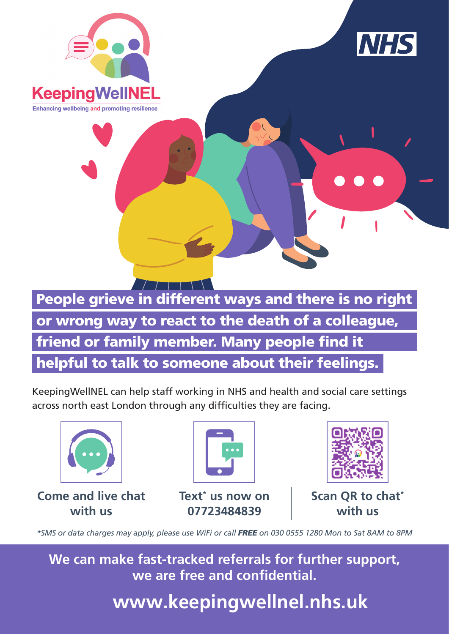



People grieve in different ways and there is no right or wrong way to react to the death of a colleague, friend or family member. Many people find it helpful to talk to someone about their feelings.

KeepingWellNEL can help staff working in NHS and health and social care settings across north east London through any difficulties they are facing.



*\*SMS or data charges may apply, please use WiFi or call FREE on 030 0555 1280 Mon to Sat 8AM to 8PM*

**We can make fast-tracked referrals for further support, we are free and confidential.**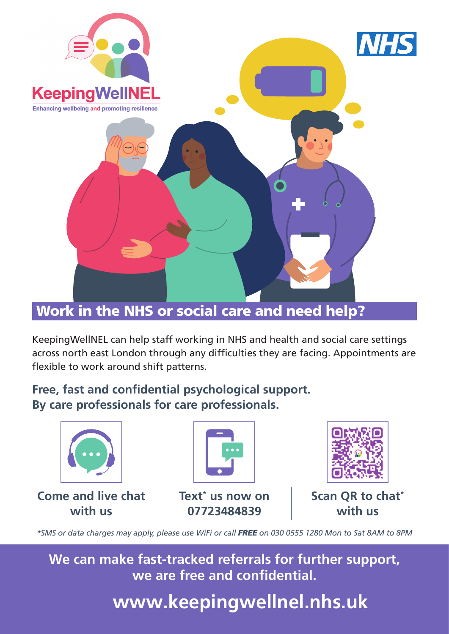

## Work in the NHS or social care and need help?

KeepingWellNEL can help staff working in NHS and health and social care settings across north east London through any difficulties they are facing. Appointments are flexible to work around shift patterns.

## Free, fast and confidential psychological support. **By care professionals for care professionals.**



*\*SMS or data charges may apply, please use WiFi or call FREE on 030 0555 1280 Mon to Sat 8AM to 8PM*

**We can make fast-tracked referrals for further support, we are free and confidential.**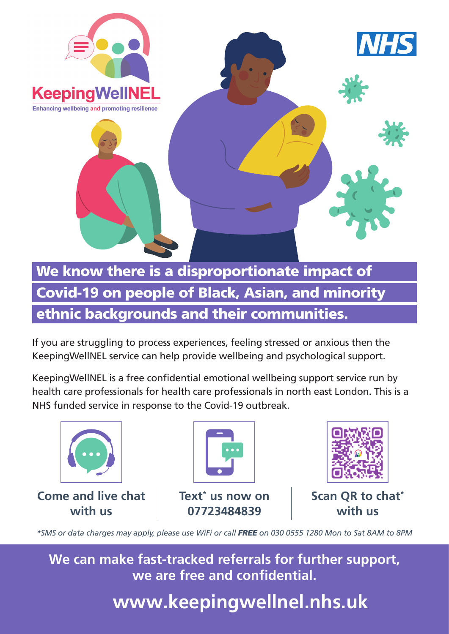

If you are struggling to process experiences, feeling stressed or anxious then the KeepingWellNEL service can help provide wellbeing and psychological support.

KeepingWellNEL is a free confidential emotional wellbeing support service run by health care professionals for health care professionals in north east London. This is a NHS funded service in response to the Covid-19 outbreak.



*\*SMS or data charges may apply, please use WiFi or call FREE on 030 0555 1280 Mon to Sat 8AM to 8PM*

**We can make fast-tracked referrals for further support, we are free and confidential.**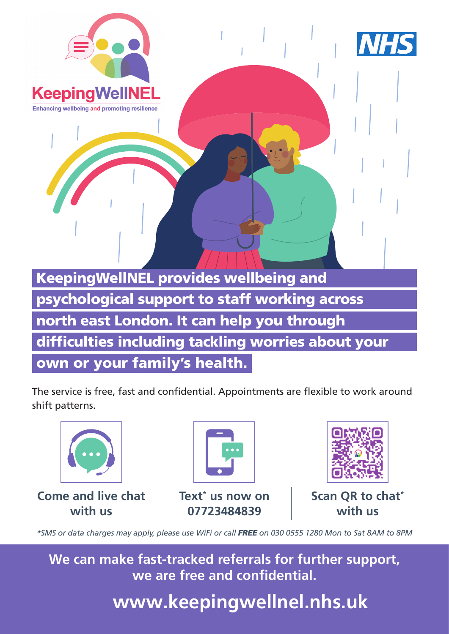

KeepingWellNEL provides wellbeing and psychological support to staff working across north east London. It can help you through difficulties including tackling worries about your

own or your family's health.

The service is free, fast and confidential. Appointments are flexible to work around shift patterns.



*\*SMS or data charges may apply, please use WiFi or call FREE on 030 0555 1280 Mon to Sat 8AM to 8PM*

**We can make fast-tracked referrals for further support, we are free and confidential.**